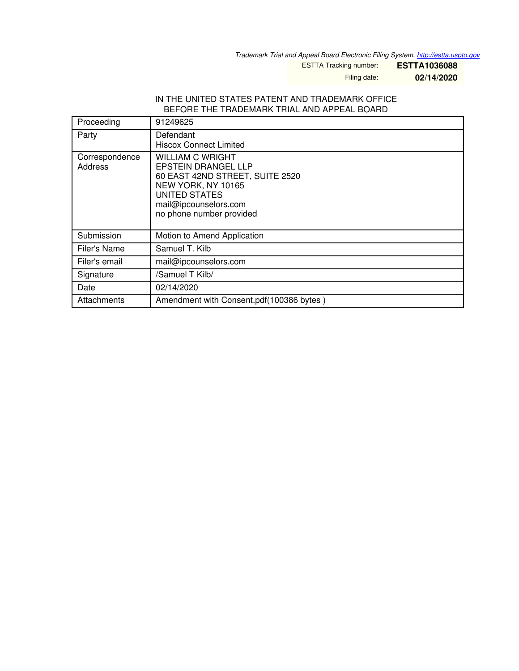*Trademark Trial and Appeal Board Electronic Filing System. <http://estta.uspto.gov>*

ESTTA Tracking number: **ESTTA1036088**

Filing date: **02/14/2020**

#### IN THE UNITED STATES PATENT AND TRADEMARK OFFICE BEFORE THE TRADEMARK TRIAL AND APPEAL BOARD

| Proceeding                | 91249625                                                                                                                                                                             |
|---------------------------|--------------------------------------------------------------------------------------------------------------------------------------------------------------------------------------|
| Party                     | Defendant<br><b>Hiscox Connect Limited</b>                                                                                                                                           |
| Correspondence<br>Address | <b>WILLIAM C WRIGHT</b><br><b>EPSTEIN DRANGEL LLP</b><br>60 EAST 42ND STREET, SUITE 2520<br>NEW YORK, NY 10165<br>UNITED STATES<br>mail@ipcounselors.com<br>no phone number provided |
| Submission                | Motion to Amend Application                                                                                                                                                          |
| Filer's Name              | Samuel T. Kilb                                                                                                                                                                       |
| Filer's email             | mail@ipcounselors.com                                                                                                                                                                |
| Signature                 | /Samuel T Kilb/                                                                                                                                                                      |
| Date                      | 02/14/2020                                                                                                                                                                           |
| Attachments               | Amendment with Consent.pdf(100386 bytes)                                                                                                                                             |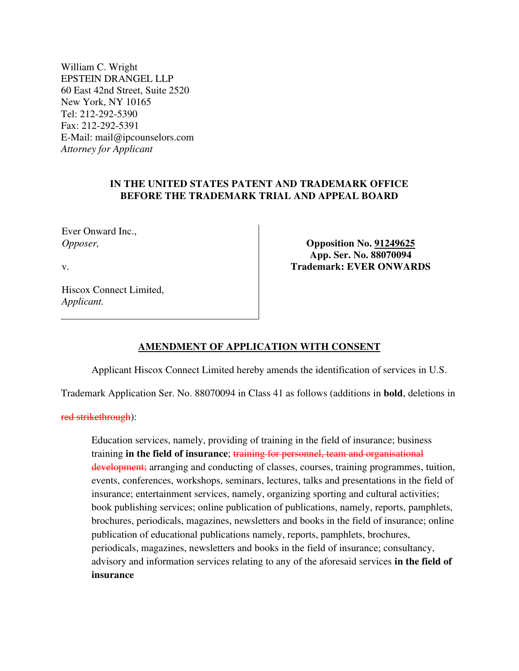William C. Wright EPSTEIN DRANGEL LLP 60 East 42nd Street, Suite 2520 New York, NY 10165 Tel: 212-292-5390 Fax: 212-292-5391 E-Mail: mail@ipcounselors.com *Attorney for Applicant* 

# **IN THE UNITED STATES PATENT AND TRADEMARK OFFICE BEFORE THE TRADEMARK TRIAL AND APPEAL BOARD**

Ever Onward Inc., *Opposer,*

v.

**Opposition No. 91249625 App. Ser. No. 88070094 Trademark: EVER ONWARDS** 

Hiscox Connect Limited, *Applicant.*

# **AMENDMENT OF APPLICATION WITH CONSENT**

Applicant Hiscox Connect Limited hereby amends the identification of services in U.S.

Trademark Application Ser. No. 88070094 in Class 41 as follows (additions in **bold**, deletions in

red strikethrough):

Education services, namely, providing of training in the field of insurance; business training **in the field of insurance**; training for personnel, team and organisational development; arranging and conducting of classes, courses, training programmes, tuition, events, conferences, workshops, seminars, lectures, talks and presentations in the field of insurance; entertainment services, namely, organizing sporting and cultural activities; book publishing services; online publication of publications, namely, reports, pamphlets, brochures, periodicals, magazines, newsletters and books in the field of insurance; online publication of educational publications namely, reports, pamphlets, brochures, periodicals, magazines, newsletters and books in the field of insurance; consultancy, advisory and information services relating to any of the aforesaid services **in the field of insurance**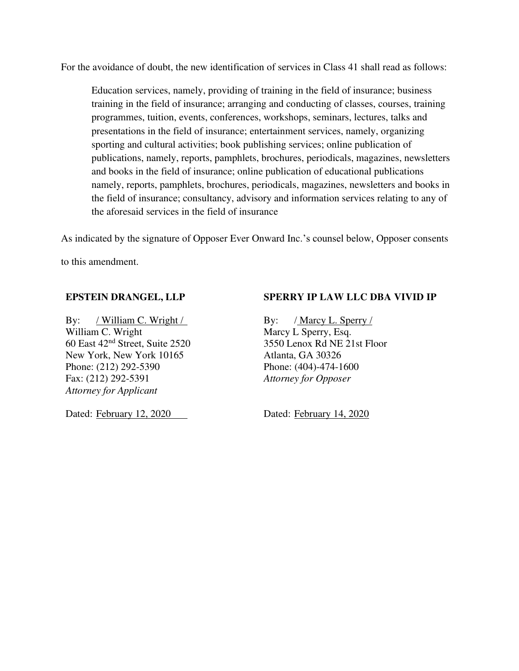For the avoidance of doubt, the new identification of services in Class 41 shall read as follows:

Education services, namely, providing of training in the field of insurance; business training in the field of insurance; arranging and conducting of classes, courses, training programmes, tuition, events, conferences, workshops, seminars, lectures, talks and presentations in the field of insurance; entertainment services, namely, organizing sporting and cultural activities; book publishing services; online publication of publications, namely, reports, pamphlets, brochures, periodicals, magazines, newsletters and books in the field of insurance; online publication of educational publications namely, reports, pamphlets, brochures, periodicals, magazines, newsletters and books in the field of insurance; consultancy, advisory and information services relating to any of the aforesaid services in the field of insurance

As indicated by the signature of Opposer Ever Onward Inc.'s counsel below, Opposer consents

to this amendment.

#### **EPSTEIN DRANGEL, LLP**

By: / William C. Wright / William C. Wright 60 East 42nd Street, Suite 2520 New York, New York 10165 Phone: (212) 292-5390 Fax: (212) 292-5391 *Attorney for Applicant* 

Dated: February 12, 2020

## **SPERRY IP LAW LLC DBA VIVID IP**

By: / Marcy L. Sperry / Marcy L Sperry, Esq. 3550 Lenox Rd NE 21st Floor Atlanta, GA 30326 Phone: (404)-474-1600 *Attorney for Opposer* 

Dated: February 14, 2020